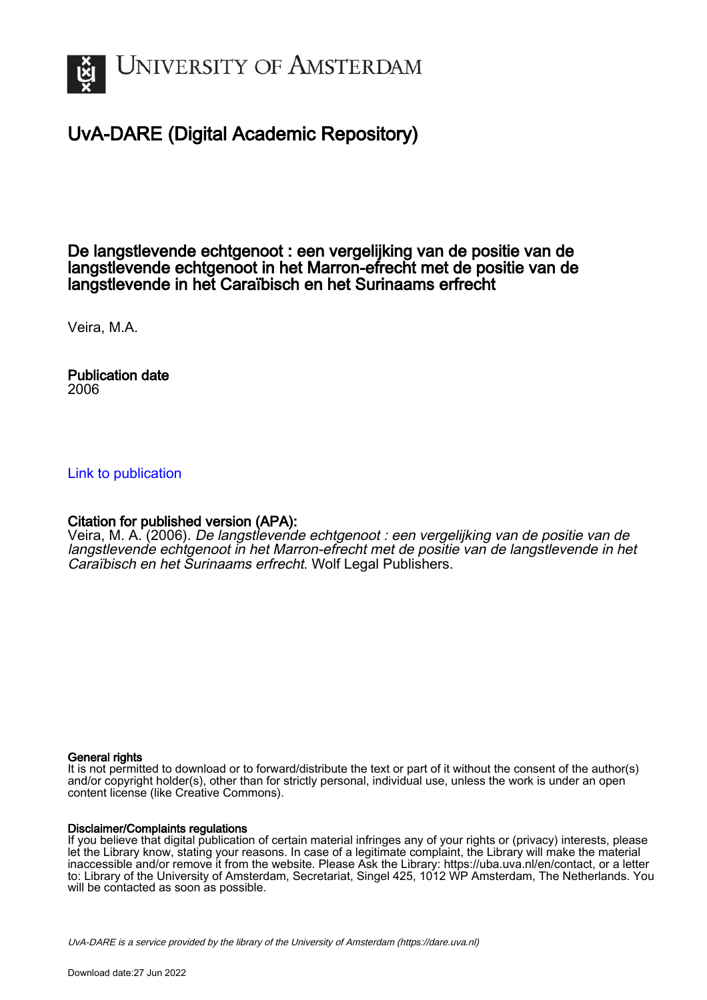

# UvA-DARE (Digital Academic Repository)

De langstlevende echtgenoot : een vergelijking van de positie van de langstlevende echtgenoot in het Marron-efrecht met de positie van de langstlevende in het Caraïbisch en het Surinaams erfrecht

Veira, M.A.

Publication date 2006

[Link to publication](https://dare.uva.nl/personal/pure/en/publications/de-langstlevende-echtgenoot--een-vergelijking-van-de-positie-van-de-langstlevende-echtgenoot-in-het-marronefrecht-met-de-positie-van-de-langstlevende-in-het-caraibisch-en-het-surinaams-erfrecht(b98778d7-7fa1-46b5-ae83-7dba8bdeaf67).html)

## Citation for published version (APA):

Veira, M. A. (2006). De langstlevende echtgenoot : een vergelijking van de positie van de langstlevende echtgenoot in het Marron-efrecht met de positie van de langstlevende in het Caraïbisch en het Surinaams erfrecht. Wolf Legal Publishers.

#### General rights

It is not permitted to download or to forward/distribute the text or part of it without the consent of the author(s) and/or copyright holder(s), other than for strictly personal, individual use, unless the work is under an open content license (like Creative Commons).

### Disclaimer/Complaints regulations

If you believe that digital publication of certain material infringes any of your rights or (privacy) interests, please let the Library know, stating your reasons. In case of a legitimate complaint, the Library will make the material inaccessible and/or remove it from the website. Please Ask the Library: https://uba.uva.nl/en/contact, or a letter to: Library of the University of Amsterdam, Secretariat, Singel 425, 1012 WP Amsterdam, The Netherlands. You will be contacted as soon as possible.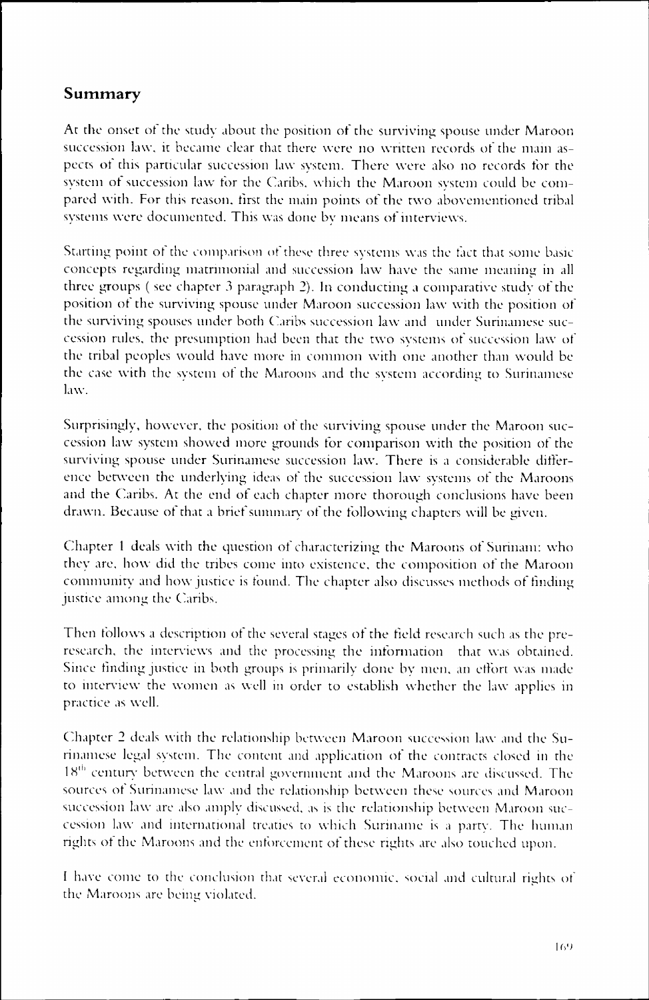## Summary

Acc the onset ot the study about the position of the surviving spouse under Maroon succession law, it became clear that there were no written records of the main aspectss ot this particular succession law system. There were also no records tor the system of succession law for the Caribs, which the Maroon system could be compared with. For this reason, first the main points of the two abovementioned tribal systems were documented. This was done by means of interviews.

Starting point of the comparison of these three systems was the fact that some basic concepts regarding matrimonial and succession law have the same meaning in all three groups (see chapter 3 paragraph 2). In conducting a comparative study of the position of the surviving spouse under Maroon succession law with the position of the surviving spouses under both Caribs succession law and under Surinamese succession rules, the presumption had been that the two systems of succession law of the tribal peoples would have more in common with one another than would be the case with the system of the Maroons and the system according to Surinamese law. .

Surprisingly,, however, the position of the surviving spouse under the Maroon succession law system showed more grounds for comparison with the position of the surviving spouse under Surinamese succession law. There is a considerable difference between the underlying ideas of the succession law systems of the Maroons and the Caribs. At the end of each chapter more thorough conclusions have been drawn.. Because of that a brief summary of the following chapters will be given.

Chapter 1 deals with the question of characterizing the Maroons of Surinam: who they are, how did the tribes come into existence, the composition of the Maroon communityy and how justice is found. The chapter also discusses methods of finding justice among the Caribs.

Then follows a description of the several stages of the field research such as the preresearch, the interviews and the processing the information that was obtained. Since finding justice in both groups is primarily done by men, an effort was made to interview the women as well in order to establish whether the law applies in practice as well.

Chapter 2 deals with the relationship between Maroon succession law and the Surinamese legal system. The content and application of the contracts closed in the 18<sup>th</sup> century between the central government and the Maroons are discussed. The sources of Surinamese law and the relationship between these sources and Maroon succession law are also amply discussed, as is the relationship between Maroon succession law and international treaties to which Suriname is a party. The human rights of the Maroons and the enforcement of these rights are also touched upon.

I have come to the conclusion that several economic, social and cultural rights of the Maroons are being violated.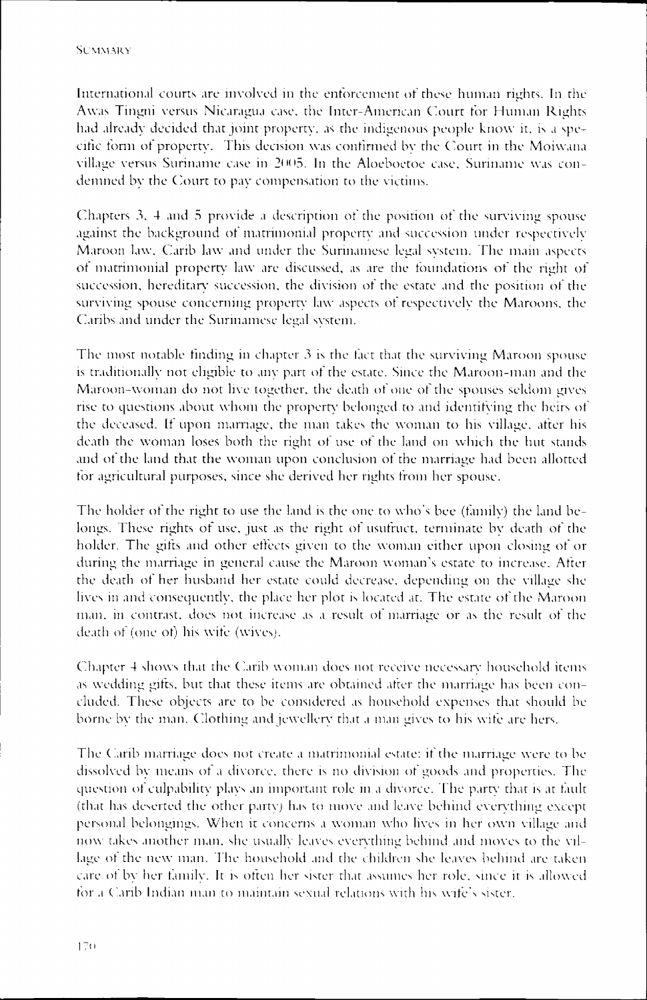International courts are involved in the enforcement of these human rights. In the Awass Tingni versus Nicaragua case, the Inter-American Court for Human Rights had already decided that joint property, as the indigenous people know it, is a specific form of property. This decision was confirmed by the Court in the Moiwana village versus Suriname case in 2005. In the Aloeboetoe case, Suriname was condemned by the Court to pay compensation to the victims.

Chapters 3, 4 and 5 provide a description of the position of the surviving spouse against the background of matrimonial property and succession under respectively Maroon law, Carib law and under the Surinamese legal system. The main aspects of matrimonial property law are discussed, as are the foundations of the right of succession,, hereditary succession, the division ot the estate and the position of the surviving spouse concerning property law aspects of respectively the Maroons, the Caribs and under the Surinamese legal system.

The most notable finding in chapter  $3$  is the fact that the surviving Maroon spouse is traditionally not eligible to any part of the estate. Since the Maroon-man and the Maroon-woman do not live together, the death of one of the spouses seldom gives rise to questions about whom the property belonged to and identifying the heirs of the deceased. If upon marriage, the man takes the woman to his village, after his death the woman loses both the right of use of the land on which the hut stands and of the land that the woman upon conclusion of the marriage had been allotted for agricultural purposes, since she derived her rights from her spouse.

The holder of the right to use the land is the one to who's bee (family) the land belongs.. These rights of use, just as the right of usufruct, terminate by death *of* the holder.. The gifts and other effects given to the woman either upon closing of or during the marriage in general cause the Maroon woman's estate to increase. After the death of her husband her estate could decrease, depending on the village she lives in and consequently, the place her plot is located at. The estate of the Maroon man.. in contrast, does not increase as a result ot marriage or as the result ot the death of (one of) his wife (wives).

Chapter  $4$  shows that the Carib woman does not receive necessary household items. as wedding gifts, but that these items are obtained after the marriage has been concluded.. These objects are to be considered as household expenses that should be borne by the man. Clothing and jewellery that a man gives to his wife are hers.

The Carib marriage does not create a matrimonial estate: if the marriage were to be dissolved by means of a divorce, there is no division of goods and properties. The question of culpability plays an important role in a divorce. The party that is at fault (that has deserted the other party) has to move and leave behind everything except personall belongings. When it concerns a woman who lives in her own village and now takes another man, she usually leaves everything behind and moves to the village of the new man. The household and the children she leaves behind are taken caree ot by her family. It is often her sister that assumes her role, since it is allowed for a Carib Indian man to maintain sexual relations with his wife's sister.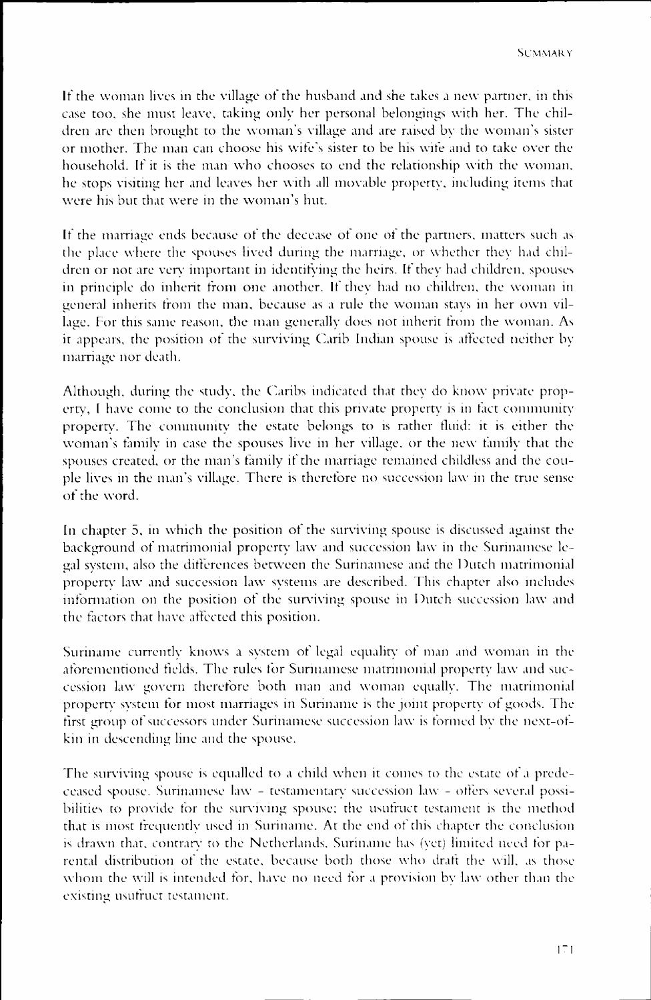Iff the woman lives in the village ot the husband and she takes a new partner, in this casee too, she must leave, taking only her personal belongings with her. The children are then brought to the woman's village and are raised by the woman's sister or mother. The man can choose his wife's sister to be his wife and to take over the household.. If it is the man who chooses to end the relationship with the woman, hee stops visiting her and leaves her with all movable property, including items that were his but that were in the woman's hut.

If the marriage ends because of the decease of one of the partners, matters such as the place where the spouses lived during the marriage, or whether they had children or not are very important in identifying the heirs. If they had children, spouses in principle do inherit from one another. If they had no children, the woman in general inherits from the man, because as a rule the woman stays in her own village. For this same reason, the man generally does not inherit from the woman. As it appears, the position of the surviving Carib Indian spouse is affected neither by marriagee nor death.

Although,, during the study, the Caribs indicated that they do know private property, I have come to the conclusion that this private property is in fact community property.. The community the estate belongs to is rather fluid: it is either the woman's family in case the spouses live in her village, or the new family that the spouses created, or the man's family if the marriage remained childless and the couple lives in the man's village. There is therefore no succession law in the true sense of the word.

In chapter 5, in which the position of the surviving spouse is discussed against the background of matrimonial property law and succession law in the Surinamese legall system, also the differences between the Surinamese and the Dutch matrimonial property law and succession law systems are described. This chapter also includes information on the position of the surviving spouse in Dutch succession law and the factors that have affected this position.

Surinamee currently knows a system of legal equality *ot* man and woman in the aforementioned fields. The rules for Surinamese matrimonial property law and succession law govern therefore both man and woman equally. The matrimonial property system for most marriages in Suriname is the joint property of goods. The first group of successors under Surinamese succession law is formed by the next-ofkin in descending line and the spouse.

The surviving spouse is equalled to a child when it comes to the estate of a predeceased spouse. Surinamese law - testamentary succession law - offers several possibilities to provide for the surviving spouse; the usufruct testament is the method that is most frequently used in Suriname. At the end of this chapter the conclusion is drawn that, contrary to the Netherlands, Suriname has (yet) limited need for parentall distribution *ot* the estate, because both those who draft the will, as those whom the will is intended for, have no need for a provision by law other than the existing usufruct testament.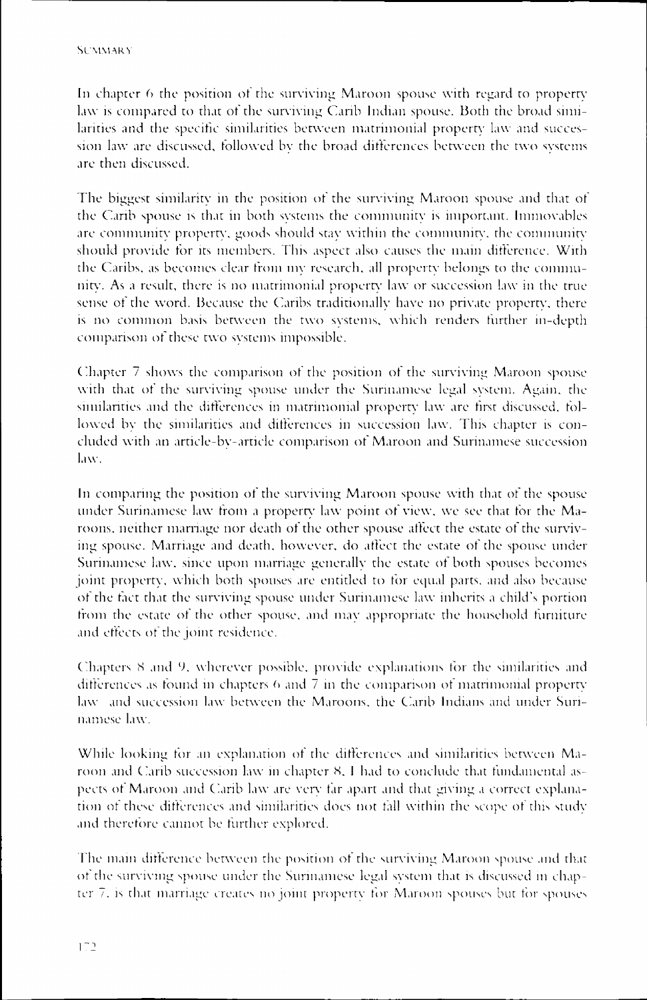In chapter 6 the position of the surviving Maroon spouse with regard to property laww is compared to that ot the surviving Carib Indian spouse. Both the broad similarities and the specific similarities between matrimonial property law and succession law are discussed, followed by the broad differences between the two systems are then discussed.

The biggest similarity in the position of the surviving Maroon spouse and that of the Carib spouse is that in both systems the community is important. Immovables are community property, goods should stay within the community, the community should provide for its members. This aspect also causes the main difference. With the Caribs, as becomes clear from my research, all property belongs to the community.. As a result, there is no matrimonial property law or succession law in the true sense of the word. Because the Caribs traditionally have no private property, there is no common basis between the two systems, which renders further in-depth comparison of these two systems impossible.

Chapter 7 shows the comparison of the position of the surviving Maroon spouse with that of the surviving spouse under the Surinamese legal system. Again, the similarities and the differences in matrimonial property law are first discussed, followed by the similarities and differences in succession law. This chapter is concluded with an article-bv-article comparison of Maroon and Surinamese succession law. .

In comparing the position of the surviving Maroon spouse with that of the spouse under Surinamese law from a property law point of view, we see that for the Maroons,, neither marriage nor death ot the other spouse affect the estate ot the surviving spouse. Marriage and death, however, do affect the estate of the spouse under Surinamese law, since upon marriage generally the estate of both spouses becomes joint property, which both spouses are entitled to for equal parts, and also because off the fact that the surviving spouse under Surinamese law inherits a child's portion from the estate of the other spouse, and may appropriate the household furniture and effects of the joint residence.

Chapters 8 and 9, wherever possible, provide explanations for the similarities and differencess as found in chapters 6 and 7 in the comparison ot matrimonial property laww and succession law between the Maroons, the Carib Indians and under Surinamese law.

While looking for an explanation of the differences and similarities between Maroon and Carib succession law in chapter 8. I had to conclude that fundamental aspectss ot Maroon and Carib law are very tar apart and that giving a correct explanation of these differences and similarities does not fall within the scope of this study and therefore cannot be further explored.

The main difference between the position of the surviving Maroon spouse and that of the surviving spouse under the Surinamese legal system that is discussed in chapterr 7. is that marriage creates no joint property tor Maroon spouses but tor spouses